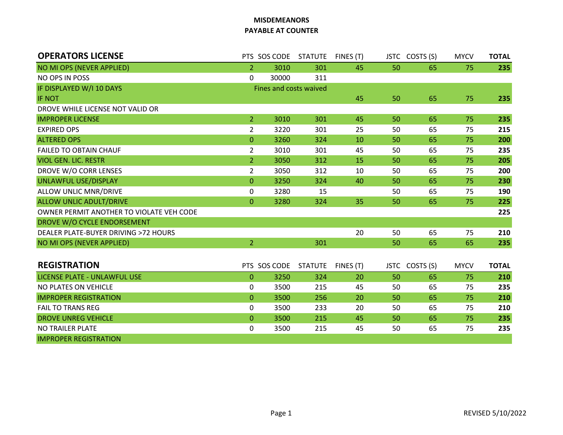## **MISDEMEANORS PAYABLE AT COUNTER**

| <b>OPERATORS LICENSE</b>                 |                        | PTS SOS CODE STATUTE |                | FINES (T) |    | JSTC COSTS (S) | <b>MYCV</b> | <b>TOTAL</b> |  |  |
|------------------------------------------|------------------------|----------------------|----------------|-----------|----|----------------|-------------|--------------|--|--|
| NO MI OPS (NEVER APPLIED)                | $\mathbf{2}^{\prime}$  | 3010                 | 301            | 45        | 50 | 65             | 75          | 235          |  |  |
| NO OPS IN POSS                           | $\mathbf 0$            | 30000                | 311            |           |    |                |             |              |  |  |
| IF DISPLAYED W/I 10 DAYS                 | Fines and costs waived |                      |                |           |    |                |             |              |  |  |
| <b>IF NOT</b>                            |                        |                      |                | 45        | 50 | 65             | 75          | 235          |  |  |
| DROVE WHILE LICENSE NOT VALID OR         |                        |                      |                |           |    |                |             |              |  |  |
| <b>IMPROPER LICENSE</b>                  | 2 <sup>1</sup>         | 3010                 | 301            | 45        | 50 | 65             | 75          | 235          |  |  |
| <b>EXPIRED OPS</b>                       | $\overline{2}$         | 3220                 | 301            | 25        | 50 | 65             | 75          | 215          |  |  |
| <b>ALTERED OPS</b>                       | $\overline{0}$         | 3260                 | 324            | 10        | 50 | 65             | 75          | 200          |  |  |
| <b>FAILED TO OBTAIN CHAUF</b>            | $\overline{2}$         | 3010                 | 301            | 45        | 50 | 65             | 75          | 235          |  |  |
| <b>VIOL GEN. LIC. RESTR</b>              | $\overline{2}$         | 3050                 | 312            | 15        | 50 | 65             | 75          | 205          |  |  |
| DROVE W/O CORR LENSES                    | $\overline{2}$         | 3050                 | 312            | 10        | 50 | 65             | 75          | 200          |  |  |
| <b>UNLAWFUL USE/DISPLAY</b>              | $\mathbf{0}$           | 3250                 | 324            | 40        | 50 | 65             | 75          | 230          |  |  |
| ALLOW UNLIC MNR/DRIVE                    | $\mathbf 0$            | 3280                 | 15             |           | 50 | 65             | 75          | 190          |  |  |
| <b>ALLOW UNLIC ADULT/DRIVE</b>           | $\overline{0}$         | 3280                 | 324            | 35        | 50 | 65             | 75          | 225          |  |  |
| OWNER PERMIT ANOTHER TO VIOLATE VEH CODE |                        |                      |                |           |    |                |             | 225          |  |  |
| DROVE W/O CYCLE ENDORSEMENT              |                        |                      |                |           |    |                |             |              |  |  |
| DEALER PLATE-BUYER DRIVING >72 HOURS     |                        |                      |                | 20        | 50 | 65             | 75          | 210          |  |  |
| NO MI OPS (NEVER APPLIED)                | $\overline{2}$         |                      | 301            |           | 50 | 65             | 65          | 235          |  |  |
|                                          |                        |                      |                |           |    |                |             |              |  |  |
| <b>REGISTRATION</b>                      |                        | PTS SOS CODE         | <b>STATUTE</b> | FINES (T) |    | JSTC COSTS (S) | <b>MYCV</b> | <b>TOTAL</b> |  |  |
| LICENSE PLATE - UNLAWFUL USE             | $\overline{0}$         | 3250                 | 324            | 20        | 50 | 65             | 75          | 210          |  |  |
| NO PLATES ON VEHICLE                     | 0                      | 3500                 | 215            | 45        | 50 | 65             | 75          | 235          |  |  |
| <b>IMPROPER REGISTRATION</b>             | $\mathbf{0}$           | 3500                 | 256            | 20        | 50 | 65             | 75          | 210          |  |  |
| <b>FAIL TO TRANS REG</b>                 | $\mathbf 0$            | 3500                 | 233            | 20        | 50 | 65             | 75          | 210          |  |  |
| <b>DROVE UNREG VEHICLE</b>               | $\overline{0}$         | 3500                 | 215            | 45        | 50 | 65             | 75          | 235          |  |  |
| NO TRAILER PLATE                         | 0                      | 3500                 | 215            | 45        | 50 | 65             | 75          | 235          |  |  |
| <b>IMPROPER REGISTRATION</b>             |                        |                      |                |           |    |                |             |              |  |  |